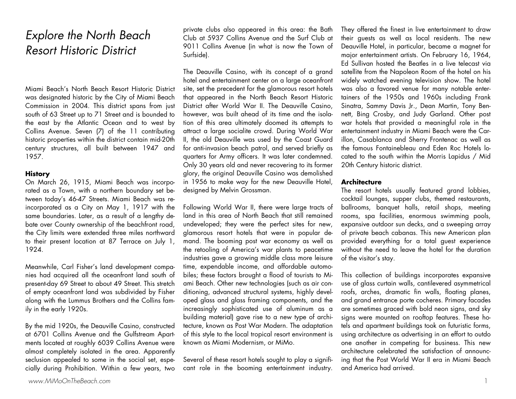# Explore the North Beach Resort Historic District

Miami Beach's North Beach Resort Historic District was designated historic by the City of Miami Beach Commission in 2004. This district spans from just south of 63 Street up to 71 Street and is bounded to the east by the Atlantic Ocean and to west by Collins Avenue. Seven (7) of the 11 contributing historic properties within the district contain mid-20th century structures, all built between 1947 and 1957.

### **History**

On March 26, 1915, Miami Beach was incorporated as a Town, with a northern boundary set between today's 46-47 Streets. Miami Beach was reincorporated as a City on May 1, 1917 with the same boundaries. Later, as a result of a lengthy debate over County ownership of the beachfront road, the City limits were extended three miles northward to their present location at 87 Terrace on July 1, 1924.

Meanwhile, Carl Fisher's land development companies had acquired all the oceanfront land south of present-day 69 Street to about 49 Street. This stretch of empty oceanfront land was subdivided by Fisher along with the Lummus Brothers and the Collins family in the early 1920s.

By the mid 1920s, the Deauville Casino, constructed at 6701 Collins Avenue and the Gulfstream Apartments located at roughly 6039 Collins Avenue were almost completely isolated in the area. Apparently seclusion appealed to some in the social set, especially during Prohibition. Within a few years, two

private clubs also appeared in this area: the Bath Club at 5937 Collins Avenue and the Surf Club at 9011 Collins Avenue (in what is now the Town of Surfside).

The Deauville Casino, with its concept of a grand hotel and entertainment center on a large oceanfront site, set the precedent for the glamorous resort hotels that appeared in the North Beach Resort Historic District after World War II. The Deauville Casino, however, was built ahead of its time and the isolation of this area ultimately doomed its attempts to attract a large socialite crowd. During World War II, the old Deauville was used by the Coast Guard for anti-invasion beach patrol, and served briefly as quarters for Army officers. It was later condemned. Only 30 years old and never recovering to its former <sup>g</sup>lory, the original Deauville Casino was demolished in 1956 to make way for the new Deauville Hotel, designed by Melvin Grossman.

Following World War II, there were large tracts of land in this area of North Beach that still remained undeveloped; they were the perfect sites for new, glamorous resort hotels that were in popular demand. The booming post war economy as well as the retooling of America's war plants to peacetime industries gave a growing middle class more leisure time, expendable income, and affordable automobiles; these factors brought a flood of tourists to Miami Beach. Other new technologies (such as air conditioning, advanced structural systems, highly developed glass and glass framing components, and the increasingly sophisticated use of aluminum as a building material) gave rise to a new type of architecture, known as Post War Modern. The adaptation of this style to the local tropical resort environment is known as Miami Modernism, or MiMo.

Several of these resort hotels sought to play a significant role in the booming entertainment industry.

They offered the finest in live entertainment to draw their guests as well as local residents. The new Deauville Hotel, in particular, became a magnet for major entertainment artists. On February 16, 1964, Ed Sullivan hosted the Beatles in a live telecast via satellite from the Napoleon Room of the hotel on his widely watched evening television show. The hotel was also a favored venue for many notable entertainers of the 1950s and 1960s including Frank Sinatra, Sammy Davis Jr., Dean Martin, Tony Bennett, Bing Crosby, and Judy Garland. Other post war hotels that provided a meaningful role in the entertainment industry in Miami Beach were the Carillon, Casablanca and Sherry Frontenac as well as the famous Fontainebleau and Eden Roc Hotels located to the south within the Morris Lapidus / Mid 20th Century historic district.

### **Architecture**

The resort hotels usually featured grand lobbies, cocktail lounges, supper clubs, themed restaurants, ballrooms, banquet halls, retail shops, meeting rooms, spa facilities, enormous swimming pools, expansive outdoor sun decks, and a sweeping array of private beach cabanas. This new American plan provided everything for a total guest experience without the need to leave the hotel for the duration of the visitor's stay.

This collection of buildings incorporates expansive use of glass curtain walls, cantilevered asymmetrical roofs, arches, dramatic fin walls, floating planes, and grand entrance porte cocheres. Primary facades are sometimes graced with bold neon signs, and sky signs were mounted on rooftop features. These hotels and apartment buildings took on futuristic forms, using architecture as advertising in an effort to outdo one another in competing for business. This new architecture celebrated the satisfaction of announcing that the Post World War II era in Miami Beach and America had arrived.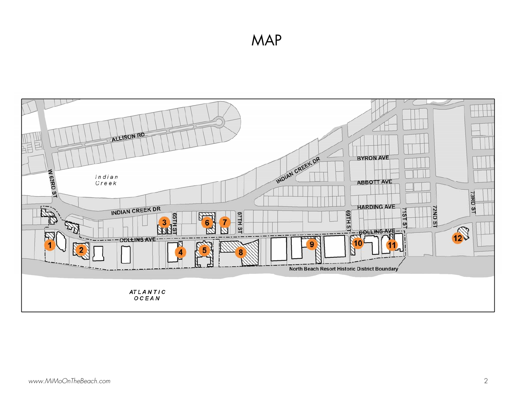MAP

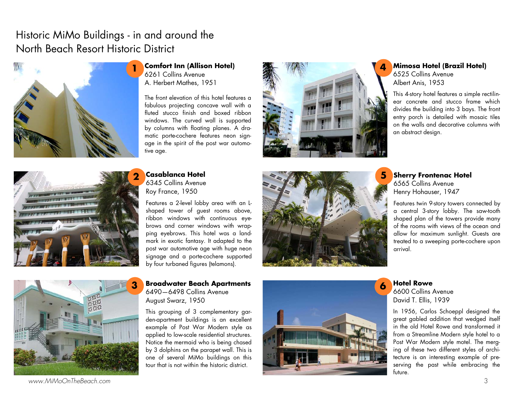# Historic MiMo Buildings - in and around the North Beach Resort Historic District



**Comfort Inn (Allison Hotel)**  6261 Collins Avenue A. Herbert Mathes, 1951

The front elevation of this hotel features a fabulous projecting concave wall with a fluted stucco finish and boxed ribbon windows. The curved wall is supported by columns with floating planes. A dramatic porte-cochere features neon signage in the spirit of the post war automotive age.



### **4 Mimosa Hotel (Brazil Hotel)**  6525 Collins Avenue

Albert Anis, 1953

This 4-story hotel features a simple rectilinear concrete and stucco frame which divides the building into 3 bays. The front entry porch is detailed with mosaic tiles on the walls and decorative columns with an abstract design.



**Casablanca Hotel** 6345 Collins Avenue Roy France, 1950

Features a 2-level lobby area with an Lshaped tower of guest rooms above, ribbon windows with continuous eyebrows and corner windows with wrapping eyebrows. This hotel was a landmark in exotic fantasy. It adapted to the post war automotive age with huge neon signage and a porte-cochere supported by four turbaned figures (telamons).





**3 Broadwater Beach Apartments** 6490—6498 Collins Avenue August Swarz, 1950

This grouping of 3 complementary garden-apartment buildings is an excellent example of Post War Modern style as applied to low-scale residential structures. Notice the mermaid who is being chased by 3 dolphins on the parapet wall. This is one of several MiMo buildings on this tour that is not within the historic district.



## **Sherry Frontenac Hotel** 6565 Collins Avenue Henry Hohauser, 1947

Features twin 9-story towers connected by a central 3-story lobby. The saw-tooth shaped plan of the towers provide many of the rooms with views of the ocean and allow for maximum sunlight. Guests are treated to a sweeping porte-cochere upon arrival.

**<sup>6</sup>Hotel Rowe** 6600 Collins Avenue David T. Ellis, 1939

In 1956, Carlos Schoeppl designed the great gabled addition that wedged itself in the old Hotel Rowe and transformed it from a Streamline Modern style hotel to a Post War Modern style motel. The merging of these two different styles of architecture is an interesting example of preserving the past while embracing the future.

www.MiMoOnTheBeach.com 3